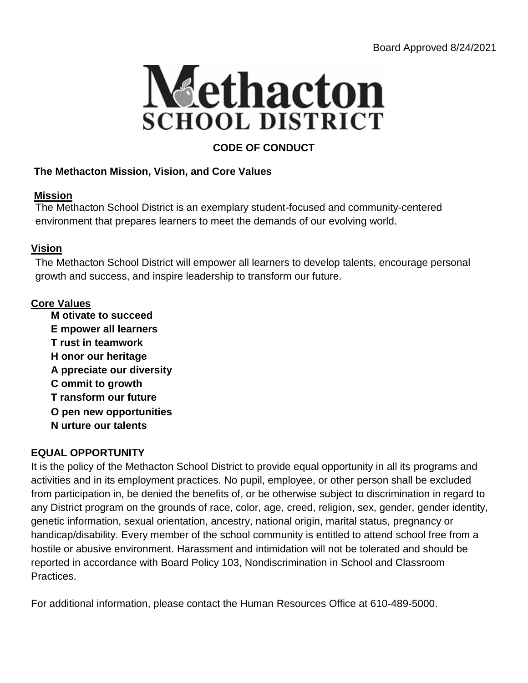

# **CODE OF CONDUCT**

## **The Methacton Mission, Vision, and Core Values**

### **Mission**

The Methacton School District is an exemplary student-focused and community-centered environment that prepares learners to meet the demands of our evolving world.

## **Vision**

The Methacton School District will empower all learners to develop talents, encourage personal growth and success, and inspire leadership to transform our future.

## **Core Values**

**M otivate to succeed E mpower all learners T rust in teamwork H onor our heritage A ppreciate our diversity C ommit to growth T ransform our future O pen new opportunities N urture our talents**

## **EQUAL OPPORTUNITY**

It is the policy of the Methacton School District to provide equal opportunity in all its programs and activities and in its employment practices. No pupil, employee, or other person shall be excluded from participation in, be denied the benefits of, or be otherwise subject to discrimination in regard to any District program on the grounds of race, color, age, creed, religion, sex, gender, gender identity, genetic information, sexual orientation, ancestry, national origin, marital status, pregnancy or handicap/disability. Every member of the school community is entitled to attend school free from a hostile or abusive environment. Harassment and intimidation will not be tolerated and should be reported in accordance with Board Policy 103, Nondiscrimination in School and Classroom Practices.

For additional information, please contact the Human Resources Office at 610-489-5000.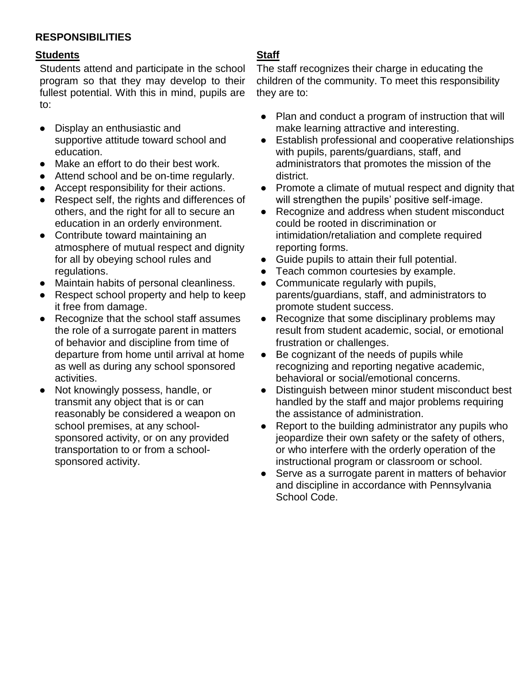### **RESPONSIBILITIES**

### **Students**

Students attend and participate in the school program so that they may develop to their fullest potential. With this in mind, pupils are to:

- Display an enthusiastic and supportive attitude toward school and education.
- Make an effort to do their best work.
- Attend school and be on-time regularly.
- Accept responsibility for their actions.
- Respect self, the rights and differences of others, and the right for all to secure an education in an orderly environment.
- Contribute toward maintaining an atmosphere of mutual respect and dignity for all by obeying school rules and regulations.
- Maintain habits of personal cleanliness.
- Respect school property and help to keep it free from damage.
- Recognize that the school staff assumes the role of a surrogate parent in matters of behavior and discipline from time of departure from home until arrival at home as well as during any school sponsored activities.
- Not knowingly possess, handle, or transmit any object that is or can reasonably be considered a weapon on school premises, at any schoolsponsored activity, or on any provided transportation to or from a schoolsponsored activity.

## **Staff**

The staff recognizes their charge in educating the children of the community. To meet this responsibility they are to:

- Plan and conduct a program of instruction that will make learning attractive and interesting.
- Establish professional and cooperative relationships with pupils, parents/guardians, staff, and administrators that promotes the mission of the district.
- Promote a climate of mutual respect and dignity that will strengthen the pupils' positive self-image.
- Recognize and address when student misconduct could be rooted in discrimination or intimidation/retaliation and complete required reporting forms.
- Guide pupils to attain their full potential.
- Teach common courtesies by example.
- Communicate regularly with pupils, parents/guardians, staff, and administrators to promote student success.
- Recognize that some disciplinary problems may result from student academic, social, or emotional frustration or challenges.
- Be cognizant of the needs of pupils while recognizing and reporting negative academic, behavioral or social/emotional concerns.
- Distinguish between minor student misconduct best handled by the staff and major problems requiring the assistance of administration.
- Report to the building administrator any pupils who jeopardize their own safety or the safety of others, or who interfere with the orderly operation of the instructional program or classroom or school.
- Serve as a surrogate parent in matters of behavior and discipline in accordance with Pennsylvania School Code.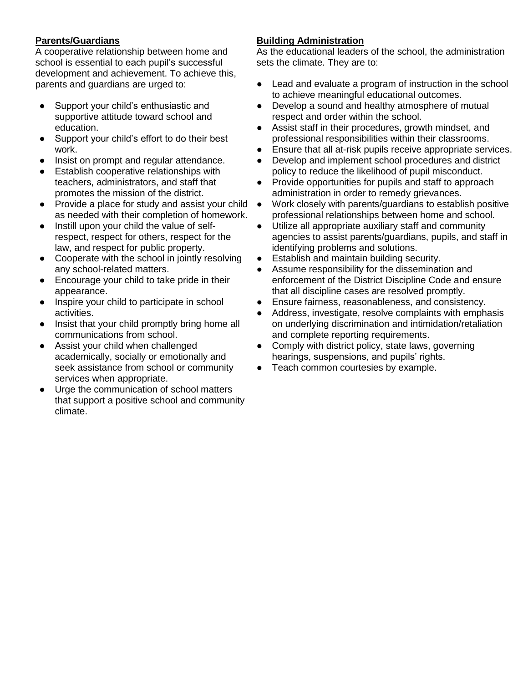#### **Parents/Guardians**

A cooperative relationship between home and school is essential to each pupil's successful development and achievement. To achieve this, parents and guardians are urged to:

- Support your child's enthusiastic and supportive attitude toward school and education.
- Support your child's effort to do their best work.
- Insist on prompt and regular attendance.
- Establish cooperative relationships with teachers, administrators, and staff that promotes the mission of the district.
- Provide a place for study and assist your child as needed with their completion of homework.
- Instill upon your child the value of selfrespect, respect for others, respect for the law, and respect for public property.
- Cooperate with the school in jointly resolving any school-related matters.
- Encourage your child to take pride in their appearance.
- Inspire your child to participate in school activities.
- Insist that your child promptly bring home all communications from school.
- Assist your child when challenged academically, socially or emotionally and seek assistance from school or community services when appropriate.
- Urge the communication of school matters that support a positive school and community climate.

### **Building Administration**

As the educational leaders of the school, the administration sets the climate. They are to:

- Lead and evaluate a program of instruction in the school to achieve meaningful educational outcomes.
- Develop a sound and healthy atmosphere of mutual respect and order within the school.
- Assist staff in their procedures, growth mindset, and professional responsibilities within their classrooms.
- Ensure that all at-risk pupils receive appropriate services.
- Develop and implement school procedures and district policy to reduce the likelihood of pupil misconduct.
- Provide opportunities for pupils and staff to approach administration in order to remedy grievances.
- Work closely with parents/guardians to establish positive professional relationships between home and school.
- Utilize all appropriate auxiliary staff and community agencies to assist parents/guardians, pupils, and staff in identifying problems and solutions.
- Establish and maintain building security.
- Assume responsibility for the dissemination and enforcement of the District Discipline Code and ensure that all discipline cases are resolved promptly.
- Ensure fairness, reasonableness, and consistency.
- Address, investigate, resolve complaints with emphasis on underlying discrimination and intimidation/retaliation and complete reporting requirements.
- Comply with district policy, state laws, governing hearings, suspensions, and pupils' rights.
- Teach common courtesies by example.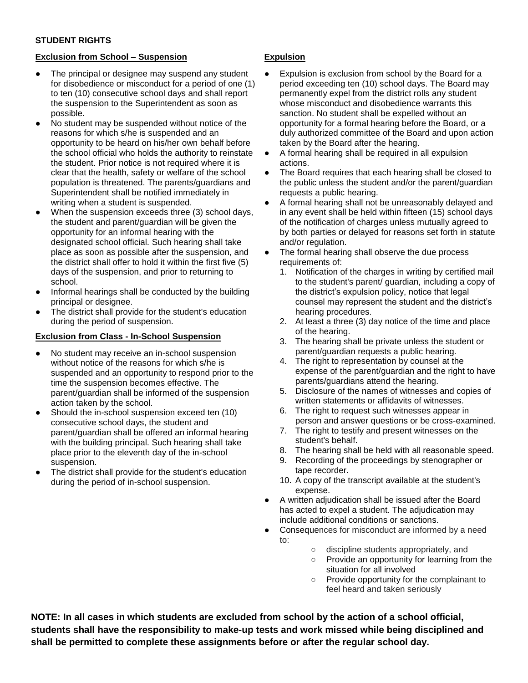#### **STUDENT RIGHTS**

#### **Exclusion from School – Suspension**

- The principal or designee may suspend any student for disobedience or misconduct for a period of one (1) to ten (10) consecutive school days and shall report the suspension to the Superintendent as soon as possible.
- No student may be suspended without notice of the reasons for which s/he is suspended and an opportunity to be heard on his/her own behalf before the school official who holds the authority to reinstate the student. Prior notice is not required where it is clear that the health, safety or welfare of the school population is threatened. The parents/guardians and Superintendent shall be notified immediately in writing when a student is suspended.
- When the suspension exceeds three (3) school days, the student and parent/guardian will be given the opportunity for an informal hearing with the designated school official. Such hearing shall take place as soon as possible after the suspension, and the district shall offer to hold it within the first five (5) days of the suspension, and prior to returning to school.
- Informal hearings shall be conducted by the building principal or designee.
- The district shall provide for the student's education during the period of suspension.

#### **Exclusion from Class - In-School Suspension**

- No student may receive an in-school suspension without notice of the reasons for which s/he is suspended and an opportunity to respond prior to the time the suspension becomes effective. The parent/guardian shall be informed of the suspension action taken by the school.
- Should the in-school suspension exceed ten (10) consecutive school days, the student and parent/guardian shall be offered an informal hearing with the building principal. Such hearing shall take place prior to the eleventh day of the in-school suspension.
- The district shall provide for the student's education during the period of in-school suspension.

#### **Expulsion**

- Expulsion is exclusion from school by the Board for a period exceeding ten (10) school days. The Board may permanently expel from the district rolls any student whose misconduct and disobedience warrants this sanction. No student shall be expelled without an opportunity for a formal hearing before the Board, or a duly authorized committee of the Board and upon action taken by the Board after the hearing.
- A formal hearing shall be required in all expulsion actions.
- The Board requires that each hearing shall be closed to the public unless the student and/or the parent/guardian requests a public hearing.
- A formal hearing shall not be unreasonably delayed and in any event shall be held within fifteen (15) school days of the notification of charges unless mutually agreed to by both parties or delayed for reasons set forth in statute and/or regulation.
- The formal hearing shall observe the due process requirements of:
	- 1. Notification of the charges in writing by certified mail to the student's parent/ guardian, including a copy of the district's expulsion policy, notice that legal counsel may represent the student and the district's hearing procedures.
	- 2. At least a three (3) day notice of the time and place of the hearing.
	- 3. The hearing shall be private unless the student or parent/guardian requests a public hearing.
	- 4. The right to representation by counsel at the expense of the parent/guardian and the right to have parents/guardians attend the hearing.
	- 5. Disclosure of the names of witnesses and copies of written statements or affidavits of witnesses.
	- 6. The right to request such witnesses appear in person and answer questions or be cross-examined.
	- 7. The right to testify and present witnesses on the student's behalf.
	- 8. The hearing shall be held with all reasonable speed.
	- 9. Recording of the proceedings by stenographer or tape recorder.
	- 10. A copy of the transcript available at the student's expense.
- A written adjudication shall be issued after the Board has acted to expel a student. The adjudication may include additional conditions or sanctions.
- Consequences for misconduct are informed by a need to:
	- discipline students appropriately, and
	- Provide an opportunity for learning from the situation for all involved
	- Provide opportunity for the complainant to feel heard and taken seriously

**NOTE: In all cases in which students are excluded from school by the action of a school official, students shall have the responsibility to make-up tests and work missed while being disciplined and shall be permitted to complete these assignments before or after the regular school day.**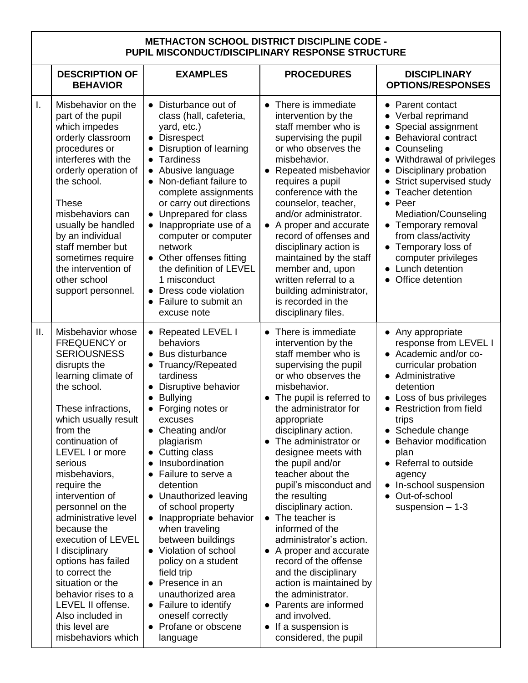### **METHACTON SCHOOL DISTRICT DISCIPLINE CODE - PUPIL MISCONDUCT/DISCIPLINARY RESPONSE STRUCTURE**

|              | <b>DESCRIPTION OF</b><br><b>BEHAVIOR</b>                                                                                                                                                                                                                                                                                                                                                                                                                                                                                                           | <b>EXAMPLES</b>                                                                                                                                                                                                                                                                                                                                                                                                                                                                                                                                                                                                                          | <b>PROCEDURES</b>                                                                                                                                                                                                                                                                                                                                                                                                                                                                                                                                                                                                                                                                                                       | <b>DISCIPLINARY</b><br><b>OPTIONS/RESPONSES</b>                                                                                                                                                                                                                                                                                                                                                                   |
|--------------|----------------------------------------------------------------------------------------------------------------------------------------------------------------------------------------------------------------------------------------------------------------------------------------------------------------------------------------------------------------------------------------------------------------------------------------------------------------------------------------------------------------------------------------------------|------------------------------------------------------------------------------------------------------------------------------------------------------------------------------------------------------------------------------------------------------------------------------------------------------------------------------------------------------------------------------------------------------------------------------------------------------------------------------------------------------------------------------------------------------------------------------------------------------------------------------------------|-------------------------------------------------------------------------------------------------------------------------------------------------------------------------------------------------------------------------------------------------------------------------------------------------------------------------------------------------------------------------------------------------------------------------------------------------------------------------------------------------------------------------------------------------------------------------------------------------------------------------------------------------------------------------------------------------------------------------|-------------------------------------------------------------------------------------------------------------------------------------------------------------------------------------------------------------------------------------------------------------------------------------------------------------------------------------------------------------------------------------------------------------------|
| $\mathbf{L}$ | Misbehavior on the<br>part of the pupil<br>which impedes<br>orderly classroom<br>procedures or<br>interferes with the<br>orderly operation of<br>the school.<br><b>These</b><br>misbehaviors can<br>usually be handled<br>by an individual<br>staff member but<br>sometimes require<br>the intervention of<br>other school<br>support personnel.                                                                                                                                                                                                   | • Disturbance out of<br>class (hall, cafeteria,<br>yard, etc.)<br><b>Disrespect</b><br>$\bullet$<br>Disruption of learning<br><b>Tardiness</b><br>$\bullet$<br>• Abusive language<br>Non-defiant failure to<br>$\bullet$<br>complete assignments<br>or carry out directions<br>Unprepared for class<br>$\bullet$<br>• Inappropriate use of a<br>computer or computer<br>network<br>• Other offenses fitting<br>the definition of LEVEL<br>1 misconduct<br>• Dress code violation<br>• Failure to submit an<br>excuse note                                                                                                                | There is immediate<br>$\bullet$<br>intervention by the<br>staff member who is<br>supervising the pupil<br>or who observes the<br>misbehavior.<br>Repeated misbehavior<br>$\bullet$<br>requires a pupil<br>conference with the<br>counselor, teacher,<br>and/or administrator.<br>• A proper and accurate<br>record of offenses and<br>disciplinary action is<br>maintained by the staff<br>member and, upon<br>written referral to a<br>building administrator,<br>is recorded in the<br>disciplinary files.                                                                                                                                                                                                            | • Parent contact<br>• Verbal reprimand<br>Special assignment<br><b>Behavioral contract</b><br>Counseling<br>Withdrawal of privileges<br>Disciplinary probation<br>$\bullet$<br>Strict supervised study<br><b>Teacher detention</b><br>$\bullet$ Peer<br>Mediation/Counseling<br>• Temporary removal<br>from class/activity<br>Temporary loss of<br>computer privileges<br>• Lunch detention<br>• Office detention |
| Ш.           | Misbehavior whose<br>FREQUENCY or<br><b>SERIOUSNESS</b><br>disrupts the<br>learning climate of<br>the school.<br>These infractions,<br>which usually result<br>from the<br>continuation of<br>LEVEL I or more<br>serious<br>misbehaviors,<br>require the<br>intervention of<br>personnel on the<br>administrative level<br>because the<br>execution of LEVEL<br>I disciplinary<br>options has failed<br>to correct the<br>situation or the<br>behavior rises to a<br>LEVEL II offense.<br>Also included in<br>this level are<br>misbehaviors which | • Repeated LEVEL I<br>behaviors<br>• Bus disturbance<br>Truancy/Repeated<br>tardiness<br>Disruptive behavior<br>$\bullet$<br><b>Bullying</b><br>$\bullet$<br>Forging notes or<br>$\bullet$<br>excuses<br>• Cheating and/or<br>plagiarism<br>• Cutting class<br>Insubordination<br>Failure to serve a<br>detention<br>• Unauthorized leaving<br>of school property<br>• Inappropriate behavior<br>when traveling<br>between buildings<br>• Violation of school<br>policy on a student<br>field trip<br>Presence in an<br>$\bullet$<br>unauthorized area<br>• Failure to identify<br>oneself correctly<br>• Profane or obscene<br>language | There is immediate<br>$\bullet$<br>intervention by the<br>staff member who is<br>supervising the pupil<br>or who observes the<br>misbehavior.<br>The pupil is referred to<br>the administrator for<br>appropriate<br>disciplinary action.<br>The administrator or<br>$\bullet$<br>designee meets with<br>the pupil and/or<br>teacher about the<br>pupil's misconduct and<br>the resulting<br>disciplinary action.<br>• The teacher is<br>informed of the<br>administrator's action.<br>• A proper and accurate<br>record of the offense<br>and the disciplinary<br>action is maintained by<br>the administrator.<br>• Parents are informed<br>and involved.<br>If a suspension is<br>$\bullet$<br>considered, the pupil | • Any appropriate<br>response from LEVEL I<br>• Academic and/or co-<br>curricular probation<br>• Administrative<br>detention<br>• Loss of bus privileges<br>• Restriction from field<br>trips<br>• Schedule change<br>• Behavior modification<br>plan<br>• Referral to outside<br>agency<br>In-school suspension<br>Out-of-school<br>suspension $-1-3$                                                            |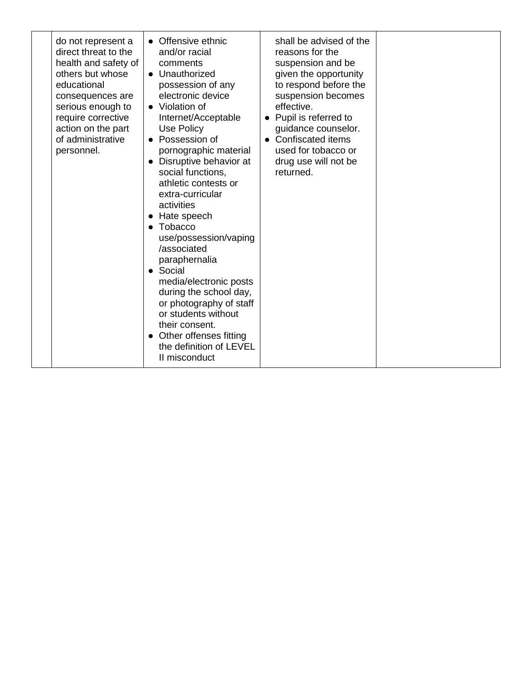| do not represent a<br>direct threat to the<br>health and safety of<br>others but whose<br>educational<br>consequences are<br>serious enough to<br>require corrective<br>action on the part<br>of administrative<br>personnel. | • Offensive ethnic<br>and/or racial<br>comments<br>• Unauthorized<br>possession of any<br>electronic device<br>$\bullet$ Violation of<br>Internet/Acceptable<br>Use Policy<br>• Possession of<br>pornographic material<br>• Disruptive behavior at<br>social functions,<br>athletic contests or<br>extra-curricular<br>activities<br>• Hate speech<br>$\bullet$ Tobacco<br>use/possession/vaping<br>/associated<br>paraphernalia<br>• Social<br>media/electronic posts<br>during the school day,<br>or photography of staff<br>or students without<br>their consent.<br>Other offenses fitting<br>$\bullet$<br>the definition of LEVEL<br>II misconduct | shall be advised of the<br>reasons for the<br>suspension and be<br>given the opportunity<br>to respond before the<br>suspension becomes<br>effective.<br>• Pupil is referred to<br>guidance counselor.<br>• Confiscated items<br>used for tobacco or<br>drug use will not be<br>returned. |  |
|-------------------------------------------------------------------------------------------------------------------------------------------------------------------------------------------------------------------------------|---------------------------------------------------------------------------------------------------------------------------------------------------------------------------------------------------------------------------------------------------------------------------------------------------------------------------------------------------------------------------------------------------------------------------------------------------------------------------------------------------------------------------------------------------------------------------------------------------------------------------------------------------------|-------------------------------------------------------------------------------------------------------------------------------------------------------------------------------------------------------------------------------------------------------------------------------------------|--|
|-------------------------------------------------------------------------------------------------------------------------------------------------------------------------------------------------------------------------------|---------------------------------------------------------------------------------------------------------------------------------------------------------------------------------------------------------------------------------------------------------------------------------------------------------------------------------------------------------------------------------------------------------------------------------------------------------------------------------------------------------------------------------------------------------------------------------------------------------------------------------------------------------|-------------------------------------------------------------------------------------------------------------------------------------------------------------------------------------------------------------------------------------------------------------------------------------------|--|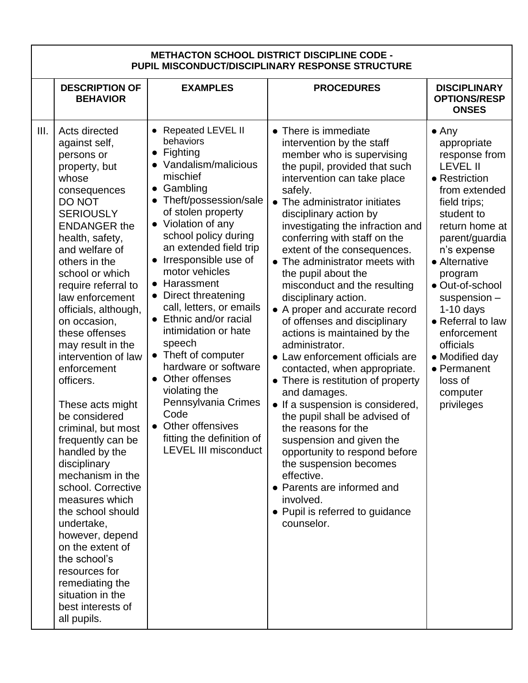| <b>METHACTON SCHOOL DISTRICT DISCIPLINE CODE -</b><br>PUPIL MISCONDUCT/DISCIPLINARY RESPONSE STRUCTURE |                                                                                                                                                                                                                                                                                                                                                                                                                                                                                                                                                                                                                                                                                                                                                                      |                                                                                                                                                                                                                                                                                                                                                                                                                                                                                                                                                                                                                                                                            |                                                                                                                                                                                                                                                                                                                                                                                                                                                                                                                                                                                                                                                                                                                                                                                                                                                                                                                                                                                  |                                                                                                                                                                                                                                                                                                                                                                                               |  |  |  |  |
|--------------------------------------------------------------------------------------------------------|----------------------------------------------------------------------------------------------------------------------------------------------------------------------------------------------------------------------------------------------------------------------------------------------------------------------------------------------------------------------------------------------------------------------------------------------------------------------------------------------------------------------------------------------------------------------------------------------------------------------------------------------------------------------------------------------------------------------------------------------------------------------|----------------------------------------------------------------------------------------------------------------------------------------------------------------------------------------------------------------------------------------------------------------------------------------------------------------------------------------------------------------------------------------------------------------------------------------------------------------------------------------------------------------------------------------------------------------------------------------------------------------------------------------------------------------------------|----------------------------------------------------------------------------------------------------------------------------------------------------------------------------------------------------------------------------------------------------------------------------------------------------------------------------------------------------------------------------------------------------------------------------------------------------------------------------------------------------------------------------------------------------------------------------------------------------------------------------------------------------------------------------------------------------------------------------------------------------------------------------------------------------------------------------------------------------------------------------------------------------------------------------------------------------------------------------------|-----------------------------------------------------------------------------------------------------------------------------------------------------------------------------------------------------------------------------------------------------------------------------------------------------------------------------------------------------------------------------------------------|--|--|--|--|
|                                                                                                        | <b>DESCRIPTION OF</b><br><b>BEHAVIOR</b>                                                                                                                                                                                                                                                                                                                                                                                                                                                                                                                                                                                                                                                                                                                             | <b>EXAMPLES</b>                                                                                                                                                                                                                                                                                                                                                                                                                                                                                                                                                                                                                                                            | <b>PROCEDURES</b>                                                                                                                                                                                                                                                                                                                                                                                                                                                                                                                                                                                                                                                                                                                                                                                                                                                                                                                                                                | <b>DISCIPLINARY</b><br><b>OPTIONS/RESP</b><br><b>ONSES</b>                                                                                                                                                                                                                                                                                                                                    |  |  |  |  |
| III.                                                                                                   | Acts directed<br>against self,<br>persons or<br>property, but<br>whose<br>consequences<br>DO NOT<br><b>SERIOUSLY</b><br><b>ENDANGER the</b><br>health, safety,<br>and welfare of<br>others in the<br>school or which<br>require referral to<br>law enforcement<br>officials, although,<br>on occasion,<br>these offenses<br>may result in the<br>intervention of law<br>enforcement<br>officers.<br>These acts might<br>be considered<br>criminal, but most<br>frequently can be<br>handled by the<br>disciplinary<br>mechanism in the<br>school. Corrective<br>measures which<br>the school should<br>undertake,<br>however, depend<br>on the extent of<br>the school's<br>resources for<br>remediating the<br>situation in the<br>best interests of<br>all pupils. | <b>Repeated LEVEL II</b><br>behaviors<br>Fighting<br>$\bullet$<br>Vandalism/malicious<br>mischief<br>Gambling<br>$\bullet$<br>Theft/possession/sale<br>of stolen property<br>• Violation of any<br>school policy during<br>an extended field trip<br>Irresponsible use of<br>motor vehicles<br>Harassment<br>$\bullet$<br>Direct threatening<br>$\bullet$<br>call, letters, or emails<br>Ethnic and/or racial<br>$\bullet$<br>intimidation or hate<br>speech<br>Theft of computer<br>$\bullet$<br>hardware or software<br>• Other offenses<br>violating the<br>Pennsylvania Crimes<br>Code<br>Other offensives<br>fitting the definition of<br><b>LEVEL III misconduct</b> | • There is immediate<br>intervention by the staff<br>member who is supervising<br>the pupil, provided that such<br>intervention can take place<br>safely.<br>• The administrator initiates<br>disciplinary action by<br>investigating the infraction and<br>conferring with staff on the<br>extent of the consequences.<br>The administrator meets with<br>the pupil about the<br>misconduct and the resulting<br>disciplinary action.<br>• A proper and accurate record<br>of offenses and disciplinary<br>actions is maintained by the<br>administrator.<br>• Law enforcement officials are<br>contacted, when appropriate.<br>• There is restitution of property<br>and damages.<br>• If a suspension is considered,<br>the pupil shall be advised of<br>the reasons for the<br>suspension and given the<br>opportunity to respond before<br>the suspension becomes<br>effective.<br>• Parents are informed and<br>involved.<br>• Pupil is referred to guidance<br>counselor. | $\bullet$ Any<br>appropriate<br>response from<br><b>LEVEL II</b><br>• Restriction<br>from extended<br>field trips;<br>student to<br>return home at<br>parent/guardia<br>n's expense<br>• Alternative<br>program<br>· Out-of-school<br>$s$ uspension $-$<br>$1-10$ days<br>• Referral to law<br>enforcement<br>officials<br>• Modified day<br>• Permanent<br>loss of<br>computer<br>privileges |  |  |  |  |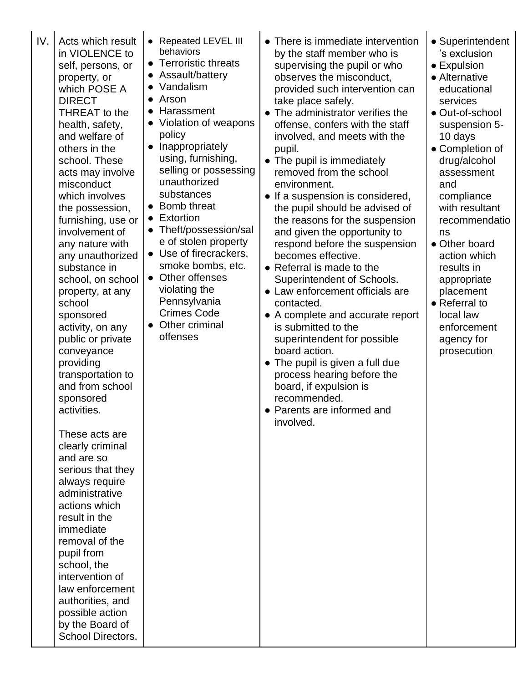IV. Acts which result in VIOLENCE to self, persons, or property, or which POSE A DIRECT THREAT to the health, safety, and welfare of others in the school. These acts may involve misconduct which involves the possession, furnishing, use or involvement of any nature with any unauthorized substance in school, on school property, at any school sponsored activity, on any public or private conveyance providing transportation to and from school sponsored activities. These acts are clearly criminal and are so serious that they always require administrative actions which result in the immediate removal of the pupil from school, the intervention of law enforcement authorities, and possible action by the Board of School Directors.

● Repeated LEVEL III behaviors

- Terroristic threats
- Assault/battery
- Vandalism
- Arson
- Harassment
- Violation of weapons policy
- Inappropriately using, furnishing, selling or possessing unauthorized substances
- Bomb threat
- Extortion
- Theft/possession/sal e of stolen property
- Use of firecrackers,
- smoke bombs, etc. ● Other offenses
- violating the **Pennsylvania** Crimes Code
- Other criminal offenses
- There is immediate intervention by the staff member who is supervising the pupil or who observes the misconduct, provided such intervention can take place safely.
- The administrator verifies the offense, confers with the staff involved, and meets with the pupil.
- The pupil is immediately removed from the school environment.
- If a suspension is considered, the pupil should be advised of the reasons for the suspension and given the opportunity to respond before the suspension becomes effective.
- Referral is made to the Superintendent of Schools.
- Law enforcement officials are contacted.
- A complete and accurate report is submitted to the superintendent for possible board action.
- The pupil is given a full due process hearing before the board, if expulsion is recommended.
- Parents are informed and involved.
- Superintendent 's exclusion
- Expulsion
- Alternative educational services
- Out-of-school suspension 5- 10 days
- Completion of drug/alcohol assessment and compliance with resultant recommendatio ns
- Other board action which results in appropriate placement
- Referral to local law enforcement agency for prosecution